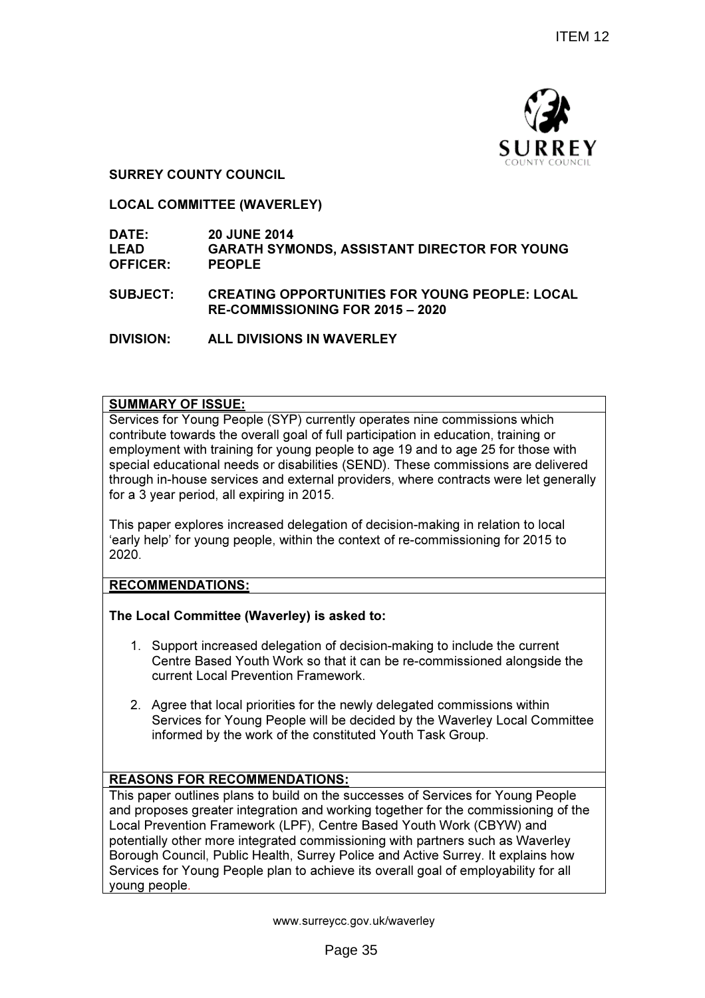

SURREY COUNTY COUNCIL

LOCAL COMMITTEE (WAVERLEY)

#### DATE: 20 JUNE 2014 LEAD OFFICER: GARATH SYMONDS, ASSISTANT DIRECTOR FOR YOUNG PEOPLE

SUBJECT: CREATING OPPORTUNITIES FOR YOUNG PEOPLE: LOCAL RE-COMMISSIONING FOR 2015 – 2020

DIVISION: ALL DIVISIONS IN WAVERLEY

#### SUMMARY OF ISSUE:

Services for Young People (SYP) currently operates nine commissions which contribute towards the overall goal of full participation in education, training or employment with training for young people to age 19 and to age 25 for those with special educational needs or disabilities (SEND). These commissions are delivered through in-house services and external providers, where contracts were let generally for a 3 year period, all expiring in 2015.

This paper explores increased delegation of decision-making in relation to local 'early help' for young people, within the context of re-commissioning for 2015 to 2020.

RECOMMENDATIONS:

## The Local Committee (Waverley) is asked to:

- 1. Support increased delegation of decision-making to include the current Centre Based Youth Work so that it can be re-commissioned alongside the current Local Prevention Framework.
- 2. Agree that local priorities for the newly delegated commissions within Services for Young People will be decided by the Waverley Local Committee informed by the work of the constituted Youth Task Group.

## REASONS FOR RECOMMENDATIONS:

This paper outlines plans to build on the successes of Services for Young People and proposes greater integration and working together for the commissioning of the Local Prevention Framework (LPF), Centre Based Youth Work (CBYW) and potentially other more integrated commissioning with partners such as Waverley Borough Council, Public Health, Surrey Police and Active Surrey. It explains how Services for Young People plan to achieve its overall goal of employability for all young people.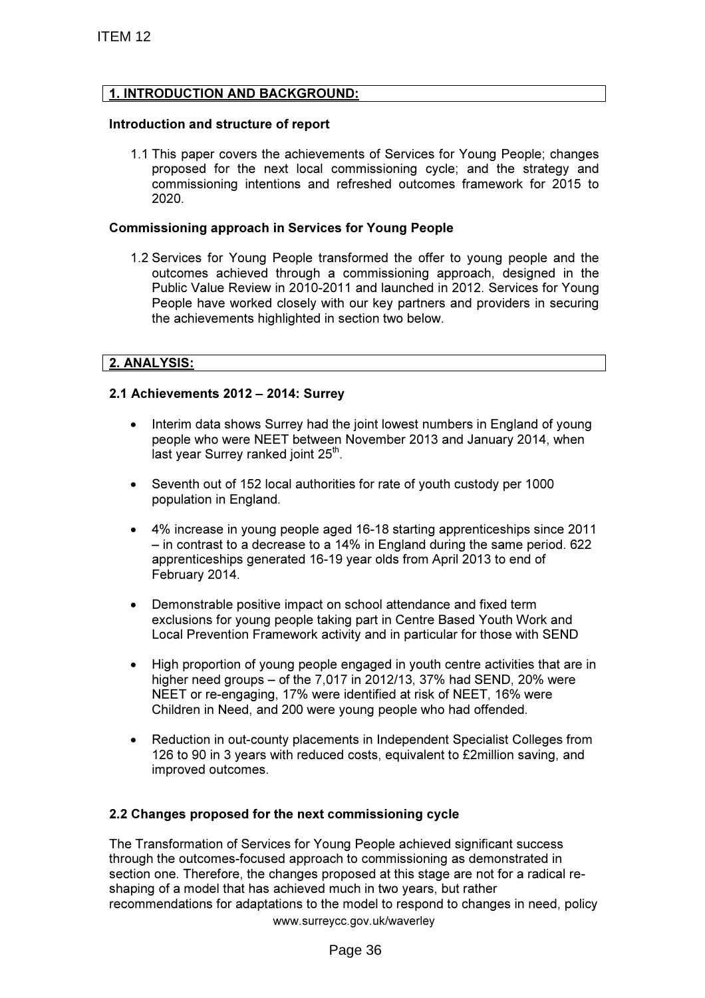## 1. INTRODUCTION AND BACKGROUND:

#### Introduction and structure of report

1.1 This paper covers the achievements of Services for Young People; changes proposed for the next local commissioning cycle; and the strategy and commissioning intentions and refreshed outcomes framework for 2015 to 2020.

#### Commissioning approach in Services for Young People

1.2 Services for Young People transformed the offer to young people and the outcomes achieved through a commissioning approach, designed in the Public Value Review in 2010-2011 and launched in 2012. Services for Young People have worked closely with our key partners and providers in securing the achievements highlighted in section two below.

## 2. ANALYSIS:

## 2.1 Achievements 2012 – 2014: Surrey

- Interim data shows Surrey had the joint lowest numbers in England of young people who were NEET between November 2013 and January 2014, when .<br>last year Surrey ranked joint 25<sup>th</sup>.
- Seventh out of 152 local authorities for rate of youth custody per 1000 population in England.
- 4% increase in young people aged 16-18 starting apprenticeships since 2011 – in contrast to a decrease to a 14% in England during the same period. 622 apprenticeships generated 16-19 year olds from April 2013 to end of February 2014.
- Demonstrable positive impact on school attendance and fixed term exclusions for young people taking part in Centre Based Youth Work and Local Prevention Framework activity and in particular for those with SEND
- High proportion of young people engaged in youth centre activities that are in higher need groups – of the 7,017 in 2012/13, 37% had SEND, 20% were NEET or re-engaging, 17% were identified at risk of NEET, 16% were Children in Need, and 200 were young people who had offended.
- Reduction in out-county placements in Independent Specialist Colleges from 126 to 90 in 3 years with reduced costs, equivalent to £2million saving, and improved outcomes.

## 2.2 Changes proposed for the next commissioning cycle

www.surreycc.gov.uk/waverley The Transformation of Services for Young People achieved significant success through the outcomes-focused approach to commissioning as demonstrated in section one. Therefore, the changes proposed at this stage are not for a radical reshaping of a model that has achieved much in two years, but rather recommendations for adaptations to the model to respond to changes in need, policy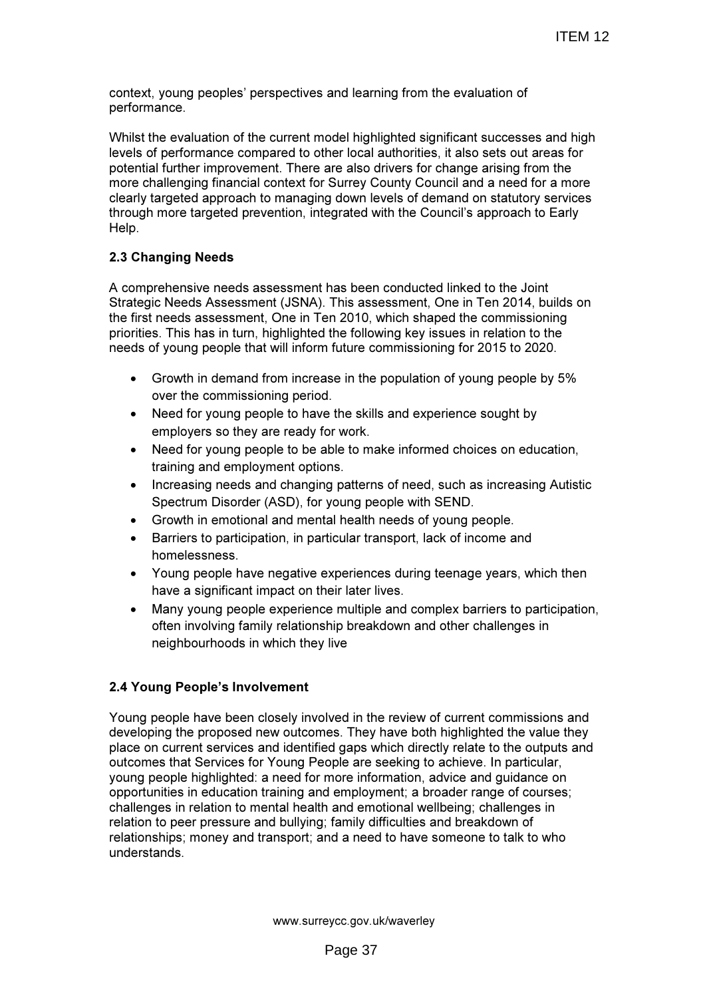context, young peoples' perspectives and learning from the evaluation of performance.

Whilst the evaluation of the current model highlighted significant successes and high levels of performance compared to other local authorities, it also sets out areas for potential further improvement. There are also drivers for change arising from the more challenging financial context for Surrey County Council and a need for a more clearly targeted approach to managing down levels of demand on statutory services through more targeted prevention, integrated with the Council's approach to Early Help.

## 2.3 Changing Needs

A comprehensive needs assessment has been conducted linked to the Joint Strategic Needs Assessment (JSNA). This assessment, One in Ten 2014, builds on the first needs assessment, One in Ten 2010, which shaped the commissioning priorities. This has in turn, highlighted the following key issues in relation to the needs of young people that will inform future commissioning for 2015 to 2020.

- Growth in demand from increase in the population of young people by 5% over the commissioning period.
- Need for young people to have the skills and experience sought by employers so they are ready for work.
- Need for young people to be able to make informed choices on education, training and employment options.
- Increasing needs and changing patterns of need, such as increasing Autistic Spectrum Disorder (ASD), for young people with SEND.
- Growth in emotional and mental health needs of young people.
- Barriers to participation, in particular transport, lack of income and homelessness.
- Young people have negative experiences during teenage years, which then have a significant impact on their later lives.
- Many young people experience multiple and complex barriers to participation, often involving family relationship breakdown and other challenges in neighbourhoods in which they live

## 2.4 Young People's Involvement

Young people have been closely involved in the review of current commissions and developing the proposed new outcomes. They have both highlighted the value they place on current services and identified gaps which directly relate to the outputs and outcomes that Services for Young People are seeking to achieve. In particular, young people highlighted: a need for more information, advice and guidance on opportunities in education training and employment; a broader range of courses; challenges in relation to mental health and emotional wellbeing; challenges in relation to peer pressure and bullying; family difficulties and breakdown of relationships; money and transport; and a need to have someone to talk to who understands.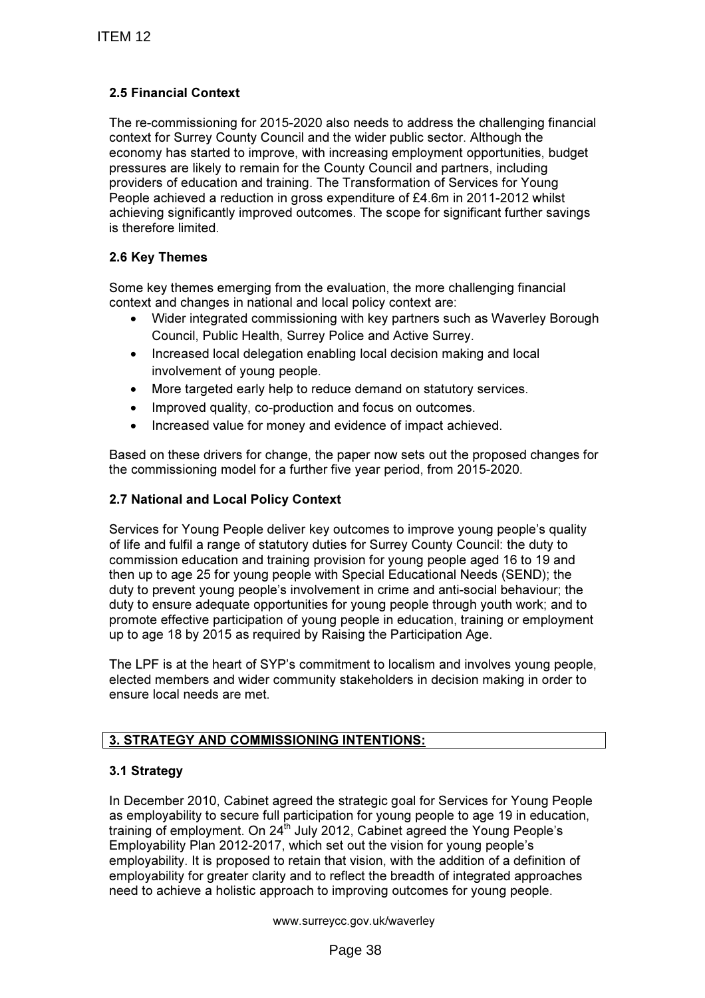# 2.5 Financial Context

The re-commissioning for 2015-2020 also needs to address the challenging financial context for Surrey County Council and the wider public sector. Although the economy has started to improve, with increasing employment opportunities, budget pressures are likely to remain for the County Council and partners, including providers of education and training. The Transformation of Services for Young People achieved a reduction in gross expenditure of £4.6m in 2011-2012 whilst achieving significantly improved outcomes. The scope for significant further savings is therefore limited.

# 2.6 Key Themes

Some key themes emerging from the evaluation, the more challenging financial context and changes in national and local policy context are:

- Wider integrated commissioning with key partners such as Waverley Borough Council, Public Health, Surrey Police and Active Surrey.
- Increased local delegation enabling local decision making and local involvement of young people.
- More targeted early help to reduce demand on statutory services.
- Improved quality, co-production and focus on outcomes.
- Increased value for money and evidence of impact achieved.

Based on these drivers for change, the paper now sets out the proposed changes for the commissioning model for a further five year period, from 2015-2020.

## 2.7 National and Local Policy Context

Services for Young People deliver key outcomes to improve young people's quality of life and fulfil a range of statutory duties for Surrey County Council: the duty to commission education and training provision for young people aged 16 to 19 and then up to age 25 for young people with Special Educational Needs (SEND); the duty to prevent young people's involvement in crime and anti-social behaviour; the duty to ensure adequate opportunities for young people through youth work; and to promote effective participation of young people in education, training or employment up to age 18 by 2015 as required by Raising the Participation Age.

The LPF is at the heart of SYP's commitment to localism and involves young people, elected members and wider community stakeholders in decision making in order to ensure local needs are met.

# 3. STRATEGY AND COMMISSIONING INTENTIONS:

## 3.1 Strategy

In December 2010, Cabinet agreed the strategic goal for Services for Young People as employability to secure full participation for young people to age 19 in education, training of employment. On 24<sup>th</sup> July 2012, Cabinet agreed the Young People's Employability Plan 2012-2017, which set out the vision for young people's employability. It is proposed to retain that vision, with the addition of a definition of employability for greater clarity and to reflect the breadth of integrated approaches need to achieve a holistic approach to improving outcomes for young people.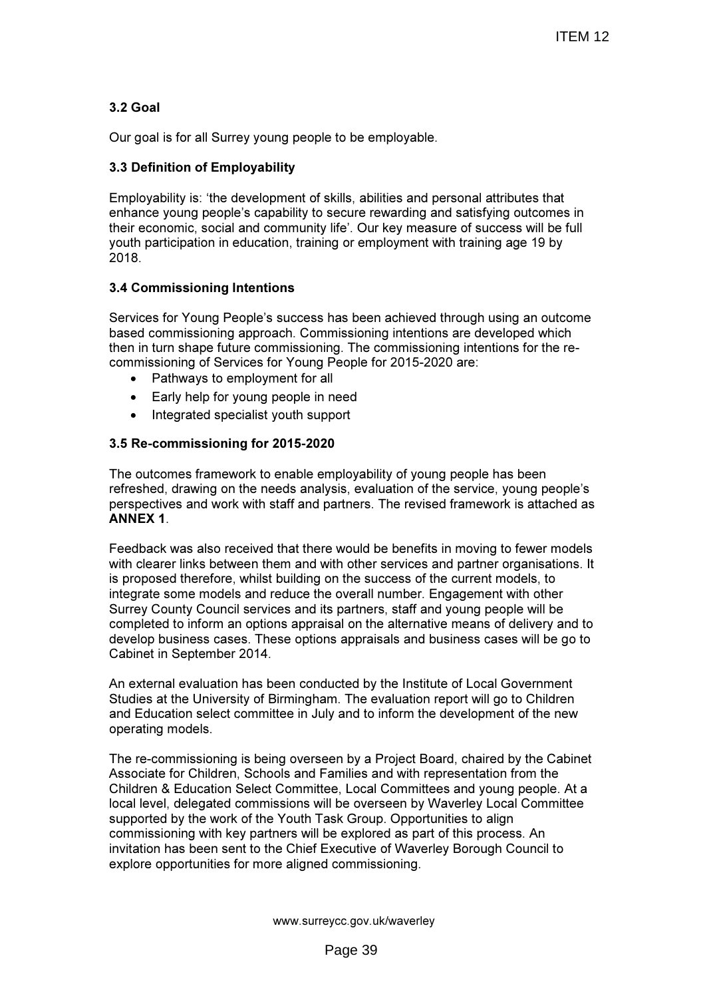# 3.2 Goal

Our goal is for all Surrey young people to be employable.

## 3.3 Definition of Employability

Employability is: 'the development of skills, abilities and personal attributes that enhance young people's capability to secure rewarding and satisfying outcomes in their economic, social and community life'. Our key measure of success will be full youth participation in education, training or employment with training age 19 by 2018.

## 3.4 Commissioning Intentions

Services for Young People's success has been achieved through using an outcome based commissioning approach. Commissioning intentions are developed which then in turn shape future commissioning. The commissioning intentions for the recommissioning of Services for Young People for 2015-2020 are:

- Pathways to employment for all
- Early help for young people in need
- Integrated specialist youth support

#### 3.5 Re-commissioning for 2015-2020

The outcomes framework to enable employability of young people has been refreshed, drawing on the needs analysis, evaluation of the service, young people's perspectives and work with staff and partners. The revised framework is attached as ANNEX 1.

Feedback was also received that there would be benefits in moving to fewer models with clearer links between them and with other services and partner organisations. It is proposed therefore, whilst building on the success of the current models, to integrate some models and reduce the overall number. Engagement with other Surrey County Council services and its partners, staff and young people will be completed to inform an options appraisal on the alternative means of delivery and to develop business cases. These options appraisals and business cases will be go to Cabinet in September 2014.

An external evaluation has been conducted by the Institute of Local Government Studies at the University of Birmingham. The evaluation report will go to Children and Education select committee in July and to inform the development of the new operating models.

The re-commissioning is being overseen by a Project Board, chaired by the Cabinet Associate for Children, Schools and Families and with representation from the Children & Education Select Committee, Local Committees and young people. At a local level, delegated commissions will be overseen by Waverley Local Committee supported by the work of the Youth Task Group. Opportunities to align commissioning with key partners will be explored as part of this process. An invitation has been sent to the Chief Executive of Waverley Borough Council to explore opportunities for more aligned commissioning.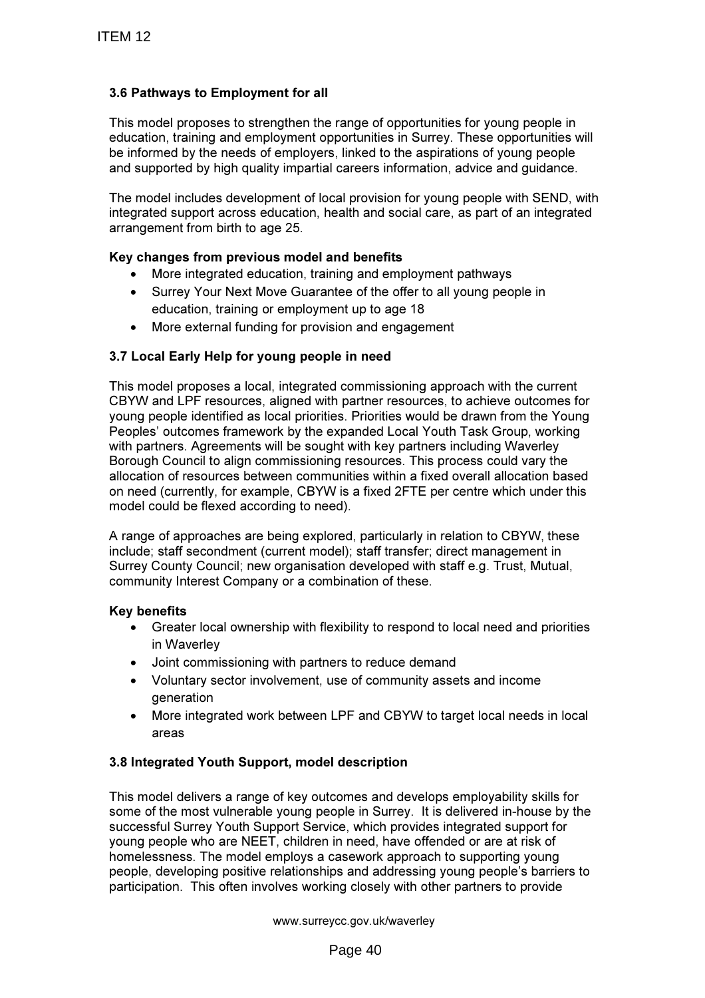# 3.6 Pathways to Employment for all

This model proposes to strengthen the range of opportunities for young people in education, training and employment opportunities in Surrey. These opportunities will be informed by the needs of employers, linked to the aspirations of young people and supported by high quality impartial careers information, advice and guidance.

The model includes development of local provision for young people with SEND, with integrated support across education, health and social care, as part of an integrated arrangement from birth to age 25.

## Key changes from previous model and benefits

- More integrated education, training and employment pathways
- Surrey Your Next Move Guarantee of the offer to all young people in education, training or employment up to age 18
- More external funding for provision and engagement

## 3.7 Local Early Help for young people in need

This model proposes a local, integrated commissioning approach with the current CBYW and LPF resources, aligned with partner resources, to achieve outcomes for young people identified as local priorities. Priorities would be drawn from the Young Peoples' outcomes framework by the expanded Local Youth Task Group, working with partners. Agreements will be sought with key partners including Waverley Borough Council to align commissioning resources. This process could vary the allocation of resources between communities within a fixed overall allocation based on need (currently, for example, CBYW is a fixed 2FTE per centre which under this model could be flexed according to need).

A range of approaches are being explored, particularly in relation to CBYW, these include; staff secondment (current model); staff transfer; direct management in Surrey County Council; new organisation developed with staff e.g. Trust, Mutual, community Interest Company or a combination of these.

## Key benefits

- Greater local ownership with flexibility to respond to local need and priorities in Waverley
- Joint commissioning with partners to reduce demand
- Voluntary sector involvement, use of community assets and income generation
- More integrated work between LPF and CBYW to target local needs in local areas

## 3.8 Integrated Youth Support, model description

This model delivers a range of key outcomes and develops employability skills for some of the most vulnerable young people in Surrey. It is delivered in-house by the successful Surrey Youth Support Service, which provides integrated support for young people who are NEET, children in need, have offended or are at risk of homelessness. The model employs a casework approach to supporting young people, developing positive relationships and addressing young people's barriers to participation. This often involves working closely with other partners to provide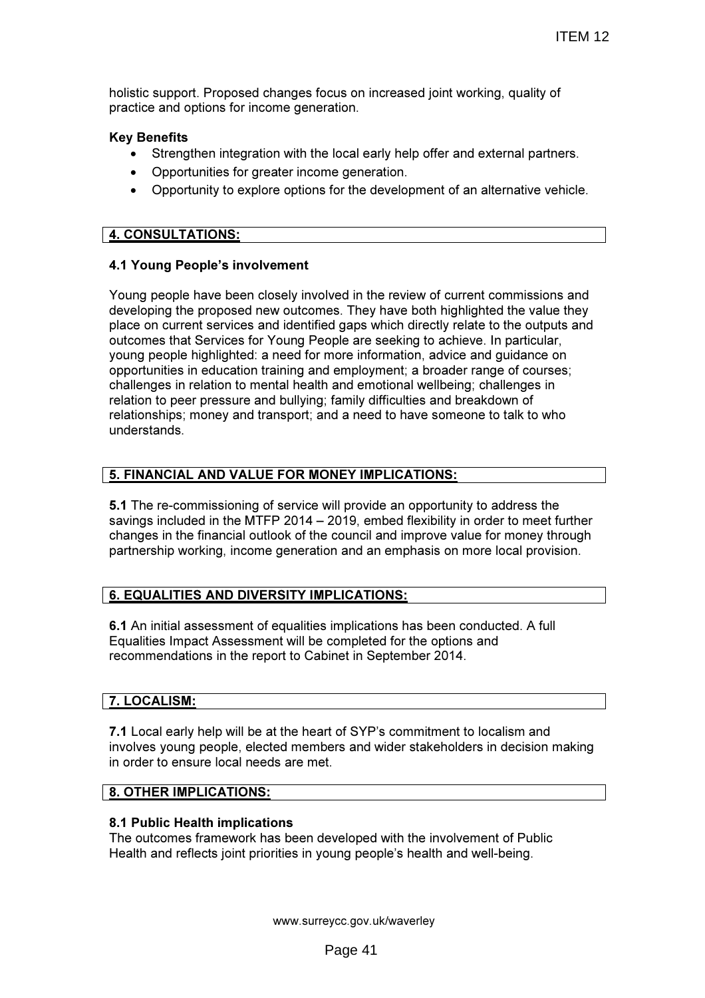holistic support. Proposed changes focus on increased joint working, quality of practice and options for income generation.

## Key Benefits

- Strengthen integration with the local early help offer and external partners.
- Opportunities for greater income generation.
- Opportunity to explore options for the development of an alternative vehicle.

## 4. CONSULTATIONS:

## 4.1 Young People's involvement

Young people have been closely involved in the review of current commissions and developing the proposed new outcomes. They have both highlighted the value they place on current services and identified gaps which directly relate to the outputs and outcomes that Services for Young People are seeking to achieve. In particular, young people highlighted: a need for more information, advice and guidance on opportunities in education training and employment; a broader range of courses; challenges in relation to mental health and emotional wellbeing; challenges in relation to peer pressure and bullying; family difficulties and breakdown of relationships; money and transport; and a need to have someone to talk to who understands.

# 5. FINANCIAL AND VALUE FOR MONEY IMPLICATIONS:

5.1 The re-commissioning of service will provide an opportunity to address the savings included in the MTFP 2014 – 2019, embed flexibility in order to meet further changes in the financial outlook of the council and improve value for money through partnership working, income generation and an emphasis on more local provision.

# 6. EQUALITIES AND DIVERSITY IMPLICATIONS:

6.1 An initial assessment of equalities implications has been conducted. A full Equalities Impact Assessment will be completed for the options and recommendations in the report to Cabinet in September 2014.

## 7. LOCALISM:

7.1 Local early help will be at the heart of SYP's commitment to localism and involves young people, elected members and wider stakeholders in decision making in order to ensure local needs are met.

## 8. OTHER IMPLICATIONS:

## 8.1 Public Health implications

The outcomes framework has been developed with the involvement of Public Health and reflects joint priorities in young people's health and well-being.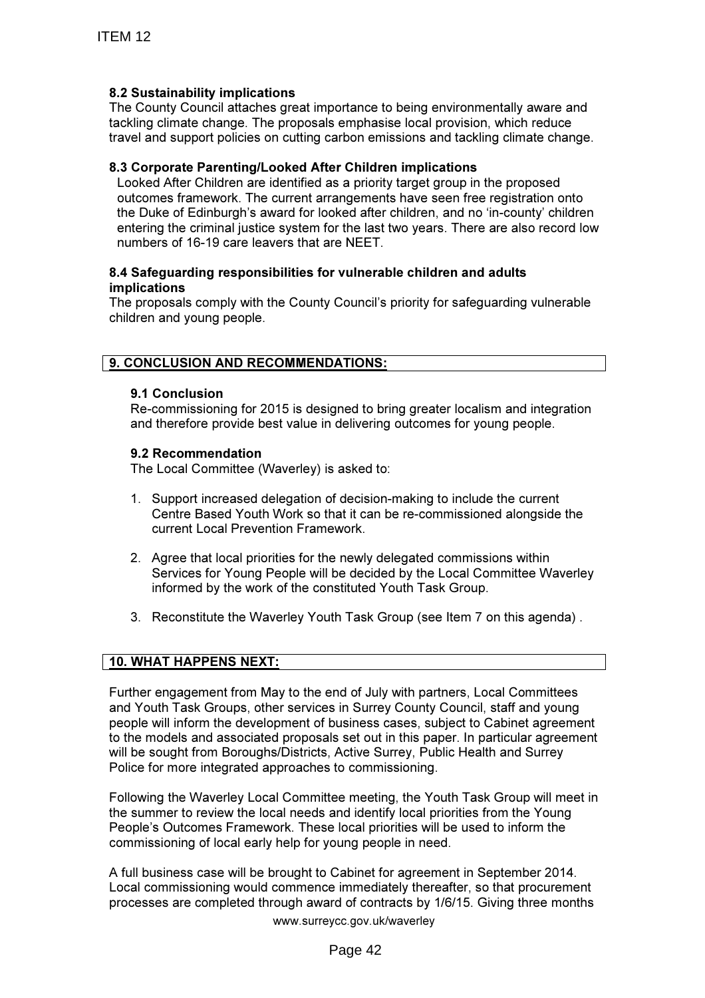## 8.2 Sustainability implications

The County Council attaches great importance to being environmentally aware and tackling climate change. The proposals emphasise local provision, which reduce travel and support policies on cutting carbon emissions and tackling climate change.

## 8.3 Corporate Parenting/Looked After Children implications

Looked After Children are identified as a priority target group in the proposed outcomes framework. The current arrangements have seen free registration onto the Duke of Edinburgh's award for looked after children, and no 'in-county' children entering the criminal justice system for the last two years. There are also record low numbers of 16-19 care leavers that are NEET.

#### 8.4 Safeguarding responsibilities for vulnerable children and adults implications

The proposals comply with the County Council's priority for safeguarding vulnerable children and young people.

# 9. CONCLUSION AND RECOMMENDATIONS:

## 9.1 Conclusion

Re-commissioning for 2015 is designed to bring greater localism and integration and therefore provide best value in delivering outcomes for young people.

## 9.2 Recommendation

The Local Committee (Waverley) is asked to:

- 1. Support increased delegation of decision-making to include the current Centre Based Youth Work so that it can be re-commissioned alongside the current Local Prevention Framework.
- 2. Agree that local priorities for the newly delegated commissions within Services for Young People will be decided by the Local Committee Waverley informed by the work of the constituted Youth Task Group.
- 3. Reconstitute the Waverley Youth Task Group (see Item 7 on this agenda) .

## 10. WHAT HAPPENS NEXT:

Further engagement from May to the end of July with partners, Local Committees and Youth Task Groups, other services in Surrey County Council, staff and young people will inform the development of business cases, subject to Cabinet agreement to the models and associated proposals set out in this paper. In particular agreement will be sought from Boroughs/Districts, Active Surrey, Public Health and Surrey Police for more integrated approaches to commissioning.

Following the Waverley Local Committee meeting, the Youth Task Group will meet in the summer to review the local needs and identify local priorities from the Young People's Outcomes Framework. These local priorities will be used to inform the commissioning of local early help for young people in need.

www.surreycc.gov.uk/waverley A full business case will be brought to Cabinet for agreement in September 2014. Local commissioning would commence immediately thereafter, so that procurement processes are completed through award of contracts by 1/6/15. Giving three months

Page 42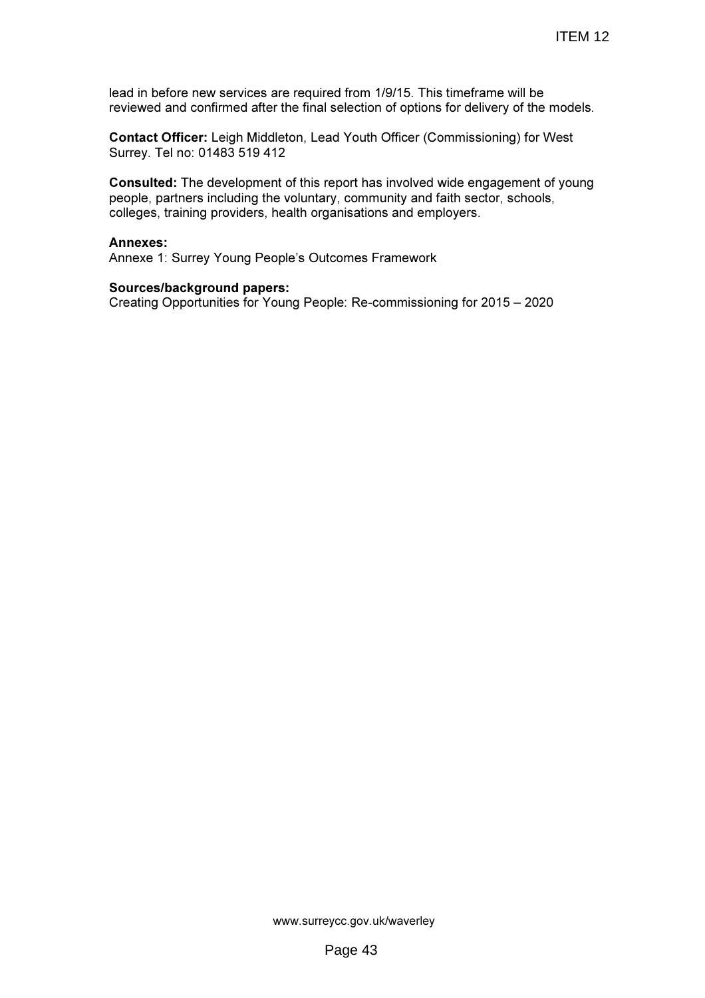lead in before new services are required from 1/9/15. This timeframe will be reviewed and confirmed after the final selection of options for delivery of the models.

Contact Officer: Leigh Middleton, Lead Youth Officer (Commissioning) for West Surrey. Tel no: 01483 519 412

Consulted: The development of this report has involved wide engagement of young people, partners including the voluntary, community and faith sector, schools, colleges, training providers, health organisations and employers.

#### Annexes:

Annexe 1: Surrey Young People's Outcomes Framework

#### Sources/background papers:

Creating Opportunities for Young People: Re-commissioning for 2015 – 2020

www.surreycc.gov.uk/waverley